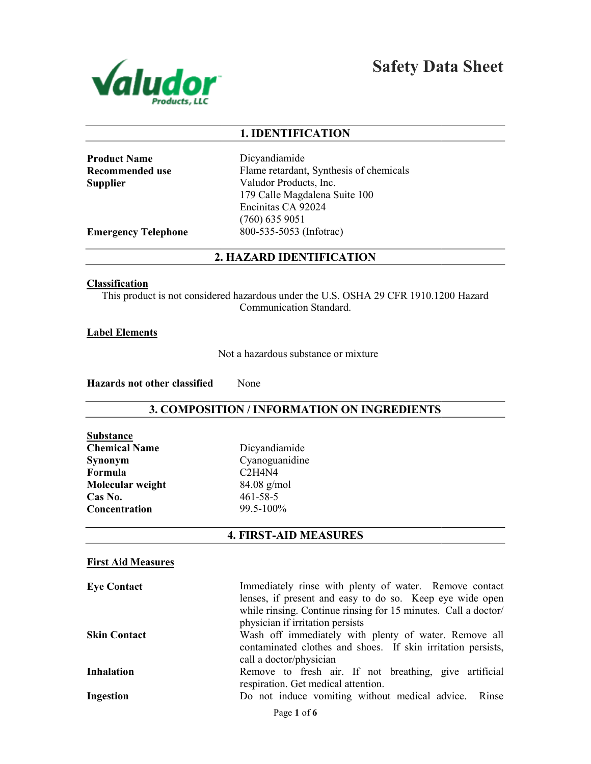

Safety Data Sheet

## 1. IDENTIFICATION

Product Name Recommended use **Supplier** 

Dicyandiamide Flame retardant, Synthesis of chemicals Valudor Products, Inc. 179 Calle Magdalena Suite 100 Encinitas CA 92024 (760) 635 9051 800-535-5053 (Infotrac)

Emergency Telephone

#### 2. HAZARD IDENTIFICATION

#### **Classification**

This product is not considered hazardous under the U.S. OSHA 29 CFR 1910.1200 Hazard Communication Standard.

#### Label Elements

Not a hazardous substance or mixture

Hazards not other classified None

## 3. COMPOSITION / INFORMATION ON INGREDIENTS

| Substance            |
|----------------------|
| <b>Chemical Name</b> |
| Synonym              |
| Formula              |
| Molecular weight     |
| Cas No.              |
| Concentration        |

Dicyandiamide Cyanoguanidine C2H4N4 84.08 g/mol 461-58-5 99.5-100%

## 4. FIRST-AID MEASURES

## First Aid Measures

| <b>Eye Contact</b>  | Immediately rinse with plenty of water. Remove contact         |  |  |
|---------------------|----------------------------------------------------------------|--|--|
|                     | lenses, if present and easy to do so. Keep eye wide open       |  |  |
|                     | while rinsing. Continue rinsing for 15 minutes. Call a doctor/ |  |  |
|                     | physician if irritation persists                               |  |  |
| <b>Skin Contact</b> | Wash off immediately with plenty of water. Remove all          |  |  |
|                     | contaminated clothes and shoes. If skin irritation persists,   |  |  |
|                     | call a doctor/physician                                        |  |  |
| <b>Inhalation</b>   | Remove to fresh air. If not breathing, give artificial         |  |  |
|                     | respiration. Get medical attention.                            |  |  |
| Ingestion           | Do not induce vomiting without medical advice. Rinse           |  |  |
|                     |                                                                |  |  |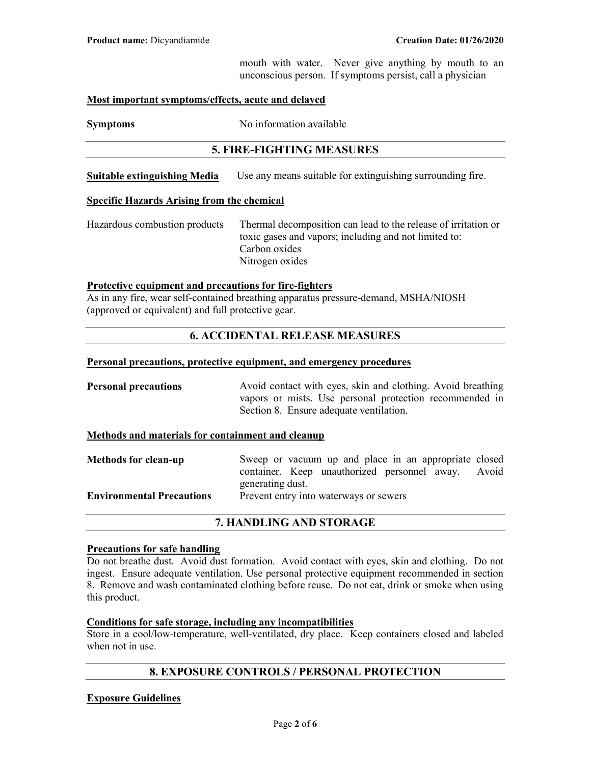mouth with water. Never give anything by mouth to an unconscious person. If symptoms persist, call a physician

#### Most important symptoms/effects, acute and delayed

Symptoms No information available

## 5. FIRE-FIGHTING MEASURES

Suitable extinguishing Media Use any means suitable for extinguishing surrounding fire.

#### Specific Hazards Arising from the chemical

Hazardous combustion products Thermal decomposition can lead to the release of irritation or toxic gases and vapors; including and not limited to: Carbon oxides Nitrogen oxides

#### Protective equipment and precautions for fire-fighters

As in any fire, wear self-contained breathing apparatus pressure-demand, MSHA/NIOSH (approved or equivalent) and full protective gear.

## 6. ACCIDENTAL RELEASE MEASURES

#### Personal precautions, protective equipment, and emergency procedures

**Personal precautions** Avoid contact with eyes, skin and clothing. Avoid breathing vapors or mists. Use personal protection recommended in Section 8. Ensure adequate ventilation.

## Methods and materials for containment and cleanup

| <b>Methods for clean-up</b>      | Sweep or vacuum up and place in an appropriate closed |  |  |
|----------------------------------|-------------------------------------------------------|--|--|
|                                  | container. Keep unauthorized personnel away. Avoid    |  |  |
|                                  | generating dust.                                      |  |  |
| <b>Environmental Precautions</b> | Prevent entry into waterways or sewers                |  |  |
|                                  |                                                       |  |  |

#### 7. HANDLING AND STORAGE

#### Precautions for safe handling

Do not breathe dust. Avoid dust formation. Avoid contact with eyes, skin and clothing. Do not ingest. Ensure adequate ventilation. Use personal protective equipment recommended in section 8. Remove and wash contaminated clothing before reuse. Do not eat, drink or smoke when using this product.

#### Conditions for safe storage, including any incompatibilities

Store in a cool/low-temperature, well-ventilated, dry place. Keep containers closed and labeled when not in use.

## 8. EXPOSURE CONTROLS / PERSONAL PROTECTION

#### Exposure Guidelines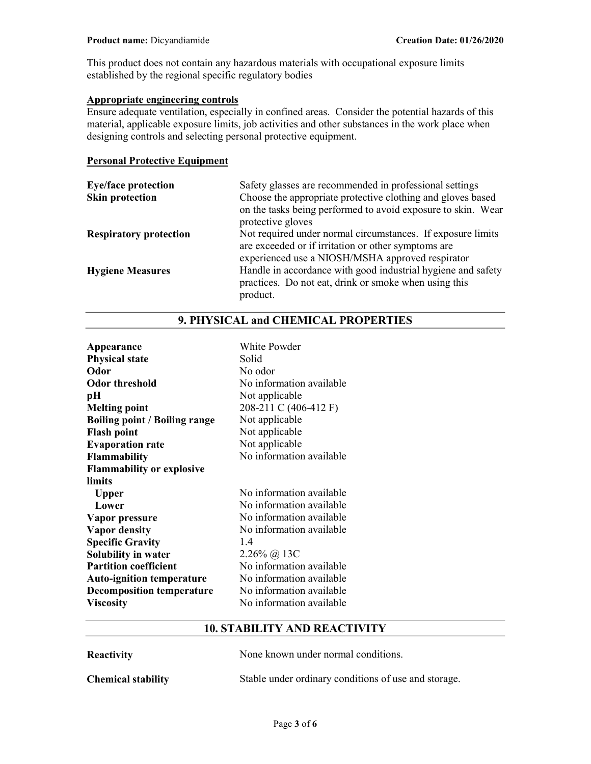This product does not contain any hazardous materials with occupational exposure limits established by the regional specific regulatory bodies

## Appropriate engineering controls

Ensure adequate ventilation, especially in confined areas. Consider the potential hazards of this material, applicable exposure limits, job activities and other substances in the work place when designing controls and selecting personal protective equipment.

#### Personal Protective Equipment

| <b>Eye/face protection</b>    | Safety glasses are recommended in professional settings                           |
|-------------------------------|-----------------------------------------------------------------------------------|
| <b>Skin protection</b>        | Choose the appropriate protective clothing and gloves based                       |
|                               | on the tasks being performed to avoid exposure to skin. Wear<br>protective gloves |
|                               |                                                                                   |
| <b>Respiratory protection</b> | Not required under normal circumstances. If exposure limits                       |
|                               | are exceeded or if irritation or other symptoms are                               |
|                               | experienced use a NIOSH/MSHA approved respirator                                  |
| <b>Hygiene Measures</b>       | Handle in accordance with good industrial hygiene and safety                      |
|                               | practices. Do not eat, drink or smoke when using this                             |
|                               | product.                                                                          |

| Appearance                           | White Powder             |
|--------------------------------------|--------------------------|
| <b>Physical state</b>                | Solid                    |
| Odor                                 | No odor                  |
| Odor threshold                       | No information available |
| pН                                   | Not applicable           |
| <b>Melting point</b>                 | 208-211 C (406-412 F)    |
| <b>Boiling point / Boiling range</b> | Not applicable           |
| <b>Flash point</b>                   | Not applicable           |
| <b>Evaporation rate</b>              | Not applicable           |
| Flammability                         | No information available |
| <b>Flammability or explosive</b>     |                          |
| limits                               |                          |
| <b>Upper</b>                         | No information available |
| Lower                                | No information available |
| Vapor pressure                       | No information available |
| <b>Vapor density</b>                 | No information available |
| <b>Specific Gravity</b>              | 14                       |
| <b>Solubility in water</b>           | $2.26\%$ @ 13C           |
| <b>Partition coefficient</b>         | No information available |
| <b>Auto-ignition temperature</b>     | No information available |
| <b>Decomposition temperature</b>     | No information available |
| <b>Viscosity</b>                     | No information available |

# 9. PHYSICAL and CHEMICAL PROPERTIES

## 10. STABILITY AND REACTIVITY

| <b>Reactivity</b>         | None known under normal conditions.                  |
|---------------------------|------------------------------------------------------|
| <b>Chemical stability</b> | Stable under ordinary conditions of use and storage. |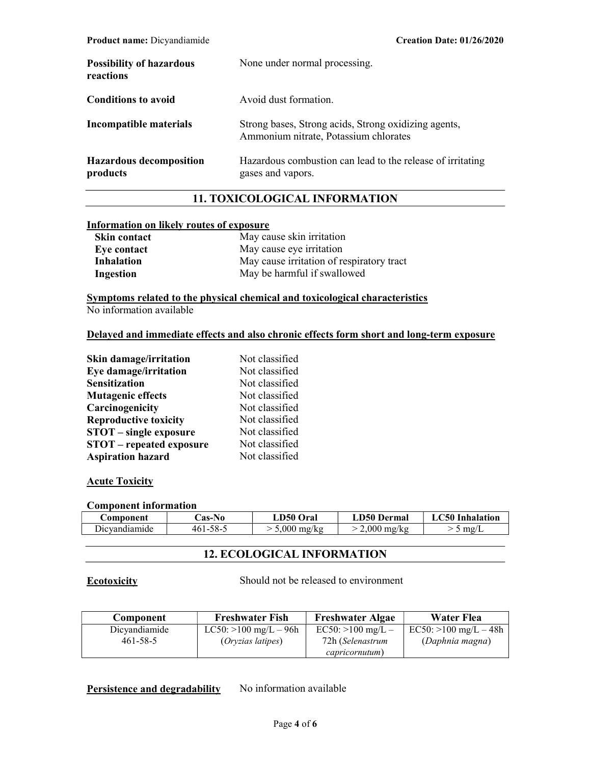| <b>Possibility of hazardous</b><br>reactions | None under normal processing.                                                                 |
|----------------------------------------------|-----------------------------------------------------------------------------------------------|
| Conditions to avoid                          | Avoid dust formation.                                                                         |
| Incompatible materials                       | Strong bases, Strong acids, Strong oxidizing agents,<br>Ammonium nitrate, Potassium chlorates |
| <b>Hazardous decomposition</b><br>products   | Hazardous combustion can lead to the release of irritating<br>gases and vapors.               |

## 11. TOXICOLOGICAL INFORMATION

## Information on likely routes of exposure

| <b>Skin contact</b> | May cause skin irritation                 |  |
|---------------------|-------------------------------------------|--|
| Eye contact         | May cause eye irritation                  |  |
| Inhalation          | May cause irritation of respiratory tract |  |
| Ingestion           | May be harmful if swallowed               |  |

Symptoms related to the physical chemical and toxicological characteristics No information available

## Delayed and immediate effects and also chronic effects form short and long-term exposure

| <b>Skin damage/irritation</b>   | Not classified |
|---------------------------------|----------------|
| Eye damage/irritation           | Not classified |
| <b>Sensitization</b>            | Not classified |
| <b>Mutagenic effects</b>        | Not classified |
| Carcinogenicity                 | Not classified |
| <b>Reproductive toxicity</b>    | Not classified |
| <b>STOT</b> – single exposure   | Not classified |
| <b>STOT</b> – repeated exposure | Not classified |
| <b>Aspiration hazard</b>        | Not classified |

#### **Acute Toxicity**

#### Component information

| <b>€omponent</b> | .'as-No        | LD50 Oral             | <b>LD50 Dermal</b>    | LC50 Inhalation |
|------------------|----------------|-----------------------|-----------------------|-----------------|
| Dicvandiamide    | $461 - 58 - 5$ | $5,000 \text{ mg/kg}$ | $2.000 \text{ mg/kg}$ | me/L            |

## 12. ECOLOGICAL INFORMATION

Ecotoxicity Should not be released to environment

| Component      | <b>Freshwater Fish</b>   | <b>Freshwater Algae</b> | Water Flea              |
|----------------|--------------------------|-------------------------|-------------------------|
| Dicyandiamide  | LC50: $>100$ mg/L $-96h$ | $EC50:>100$ mg/L –      | $EC50:>100$ mg/L $-48h$ |
| $461 - 58 - 5$ | <i>(Oryzias latipes)</i> | 72h (Selenastrum        | (Daphnia magna)         |
|                |                          | capricornutum)          |                         |

Persistence and degradability No information available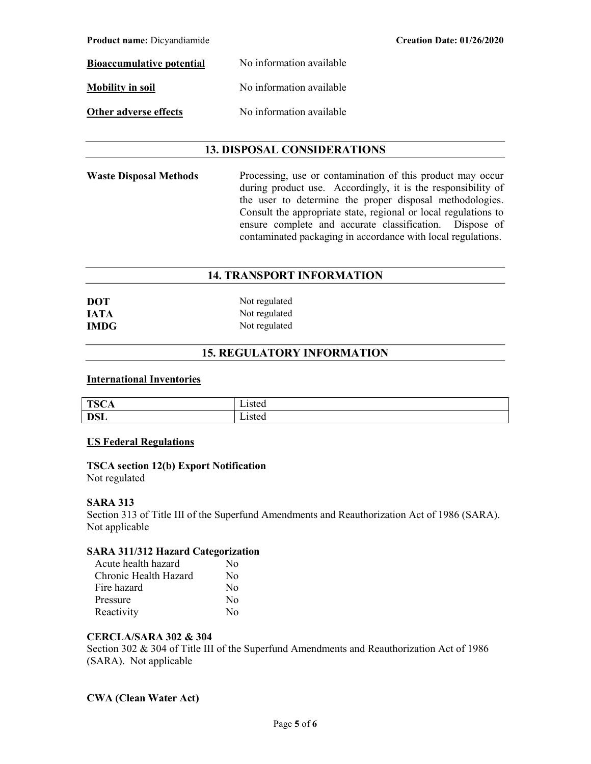| <b>Product name:</b> Dicyandiamide |                          | <b>Creation Date: 01/26/2020</b> |
|------------------------------------|--------------------------|----------------------------------|
| <b>Bioaccumulative potential</b>   | No information available |                                  |
| <b>Mobility in soil</b>            | No information available |                                  |
| Other adverse effects              | No information available |                                  |

## 13. DISPOSAL CONSIDERATIONS

Waste Disposal Methods Processing, use or contamination of this product may occur during product use. Accordingly, it is the responsibility of the user to determine the proper disposal methodologies. Consult the appropriate state, regional or local regulations to ensure complete and accurate classification. Dispose of contaminated packaging in accordance with local regulations.

## 14. TRANSPORT INFORMATION

| <b>DOT</b>  | Not regulated |
|-------------|---------------|
| <b>IATA</b> | Not regulated |
| <b>IMDG</b> | Not regulated |

## 15. REGULATORY INFORMATION

#### International Inventories

| <b>TSC</b><br>д.<br>ᆂ<br>ື້ | - -<br>sivu |
|-----------------------------|-------------|
| <b>DSL</b>                  | --<br>-15 w |

#### US Federal Regulations

# TSCA section 12(b) Export Notification

Not regulated

#### SARA 313

Section 313 of Title III of the Superfund Amendments and Reauthorization Act of 1986 (SARA). Not applicable

## SARA 311/312 Hazard Categorization

| Acute health hazard   | Nο               |
|-----------------------|------------------|
| Chronic Health Hazard | No               |
| Fire hazard           | $\rm No$         |
| Pressure              | No               |
| Reactivity            | $\rm N_{\Omega}$ |

## CERCLA/SARA 302 & 304

Section 302 & 304 of Title III of the Superfund Amendments and Reauthorization Act of 1986 (SARA). Not applicable

## CWA (Clean Water Act)